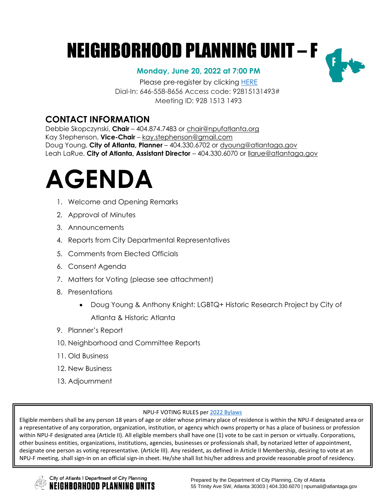# NEIGHBORHOOD PLANNING UNIT – F

### **Monday, June 20, 2022 at 7:00 PM**

Please pre-register by clicking [HERE](https://zoom.us/meeting/register/tJYlduyprTouE9c3GbvSNXk-QnBIMbRu-Zg3) Dial-In: 646-558-8656 Access code: 92815131493# Meeting ID: 928 1513 1493

### **CONTACT INFORMATION**

Debbie Skopczynski, **Chair** – 404.874.7483 or [chair@npufatlanta.org](mailto:chair@npufatlanta.org) Kay Stephenson, **Vice-Chair** – [kay.stephenson@gmail.com](mailto:kay.stephenson@gmail.com) Doug Young, **City of Atlanta, Planner** – 404.330.6702 or [dyoung@atlantaga.gov](mailto:dyoung@atlantaga.gov) Leah LaRue, **City of Atlanta, Assistant Director** – 404.330.6070 or [llarue@atlantaga.gov](mailto:llarue@atlantaga.gov)



- 1. Welcome and Opening Remarks
- 2. Approval of Minutes
- 3. Announcements
- 4. Reports from City Departmental Representatives
- 5. Comments from Elected Officials
- 6. Consent Agenda
- 7. Matters for Voting (please see attachment)
- 8. Presentations
	- Doug Young & Anthony Knight: LGBTQ+ Historic Research Project by City of Atlanta & Historic Atlanta
- 9. Planner's Report
- 10. Neighborhood and Committee Reports
- 11. Old Business
- 12. New Business
- 13. Adjournment

#### NPU-F VOTING RULES per 2022 [Bylaws](https://drive.google.com/file/d/1RLpNWvDBfz1h3Xq-cCNdXsdd3UzcGTeY/view?usp=sharing)

Eligible members shall be any person 18 years of age or older whose primary place of residence is within the NPU-F designated area or a representative of any corporation, organization, institution, or agency which owns property or has a place of business or profession within NPU-F designated area (Article II). All eligible members shall have one (1) vote to be cast in person or virtually. Corporations, other business entities, organizations, institutions, agencies, businesses or professionals shall, by notarized letter of appointment, designate one person as voting representative. (Article III). Any resident, as defined in Article II Membership, desiring to vote at an NPU-F meeting, shall sign-in on an official sign-in sheet. He/she shall list his/her address and provide reasonable proof of residency.

City of Atlanta | Department of City Planning IEIGHBORHOOD PLANNING UNITS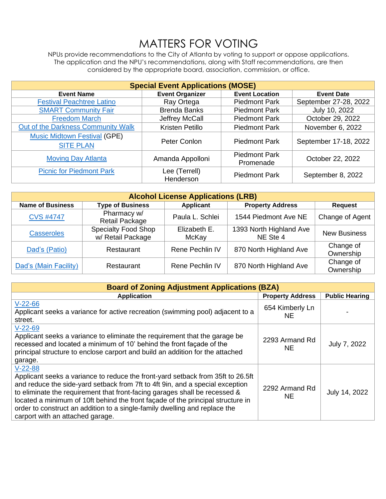## MATTERS FOR VOTING

NPUs provide recommendations to the City of Atlanta by voting to support or oppose applications. The application and the NPU's recommendations, along with Staff recommendations, are then considered by the appropriate board, association, commission, or office.

| <b>Special Event Applications (MOSE)</b>                |                            |                                   |                       |  |
|---------------------------------------------------------|----------------------------|-----------------------------------|-----------------------|--|
| <b>Event Name</b>                                       | <b>Event Organizer</b>     | <b>Event Location</b>             | <b>Event Date</b>     |  |
| <b>Festival Peachtree Latino</b>                        | Ray Ortega                 | <b>Piedmont Park</b>              | September 27-28, 2022 |  |
| <b>SMART Community Fair</b>                             | <b>Brenda Banks</b>        | <b>Piedmont Park</b>              | July 10, 2022         |  |
| <b>Freedom March</b>                                    | Jeffrey McCall             | <b>Piedmont Park</b>              | October 29, 2022      |  |
| Out of the Darkness Community Walk                      | Kristen Petillo            | <b>Piedmont Park</b>              | November 6, 2022      |  |
| <b>Music Midtown Festival (GPE)</b><br><b>SITE PLAN</b> | Peter Conlon               | <b>Piedmont Park</b>              | September 17-18, 2022 |  |
| <b>Moving Day Atlanta</b>                               | Amanda Appolloni           | <b>Piedmont Park</b><br>Promenade | October 22, 2022      |  |
| <b>Picnic for Piedmont Park</b>                         | Lee (Terrell)<br>Henderson | <b>Piedmont Park</b>              | September 8, 2022     |  |

| <b>Alcohol License Applications (LRB)</b> |                                                 |                       |                                     |                        |
|-------------------------------------------|-------------------------------------------------|-----------------------|-------------------------------------|------------------------|
| <b>Name of Business</b>                   | <b>Type of Business</b>                         | Applicant             | <b>Property Address</b>             | <b>Request</b>         |
| <b>CVS #4747</b>                          | Pharmacy w/<br><b>Retail Package</b>            | Paula L. Schlei       | 1544 Piedmont Ave NE                | Change of Agent        |
| <b>Casseroles</b>                         | <b>Specialty Food Shop</b><br>w/ Retail Package | Elizabeth E.<br>McKay | 1393 North Highland Ave<br>NE Ste 4 | <b>New Business</b>    |
| Dad's (Patio)                             | Restaurant                                      | Rene Pechlin IV       | 870 North Highland Ave              | Change of<br>Ownership |
| Dad's (Main Facility)                     | Restaurant                                      | Rene Pechlin IV       | 870 North Highland Ave              | Change of<br>Ownership |

| <b>Board of Zoning Adjustment Applications (BZA)</b>                                                                                                                                                                                                                                                                                                                                                                                                             |                              |                       |  |
|------------------------------------------------------------------------------------------------------------------------------------------------------------------------------------------------------------------------------------------------------------------------------------------------------------------------------------------------------------------------------------------------------------------------------------------------------------------|------------------------------|-----------------------|--|
| <b>Application</b>                                                                                                                                                                                                                                                                                                                                                                                                                                               | <b>Property Address</b>      | <b>Public Hearing</b> |  |
| $V-22-66$<br>Applicant seeks a variance for active recreation (swimming pool) adjacent to a<br>street.                                                                                                                                                                                                                                                                                                                                                           | 654 Kimberly Ln<br><b>NE</b> |                       |  |
| $V-22-69$<br>Applicant seeks a variance to eliminate the requirement that the garage be<br>recessed and located a minimum of 10' behind the front façade of the<br>principal structure to enclose carport and build an addition for the attached<br>garage.                                                                                                                                                                                                      | 2293 Armand Rd<br>NE.        | July 7, 2022          |  |
| $V-22-88$<br>Applicant seeks a variance to reduce the front-yard setback from 35ft to 26.5ft<br>and reduce the side-yard setback from 7ft to 4ft 9in, and a special exception<br>to eliminate the requirement that front-facing garages shall be recessed &<br>located a minimum of 10ft behind the front façade of the principal structure in<br>order to construct an addition to a single-family dwelling and replace the<br>carport with an attached garage. | 2292 Armand Rd<br>NE.        | July 14, 2022         |  |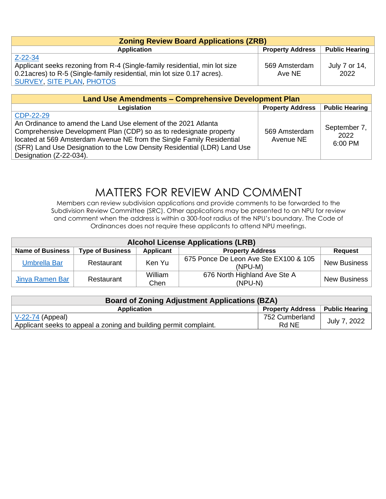| <b>Zoning Review Board Applications (ZRB)</b>                              |                         |                       |  |
|----------------------------------------------------------------------------|-------------------------|-----------------------|--|
| <b>Application</b>                                                         | <b>Property Address</b> | <b>Public Hearing</b> |  |
| Z-22-34                                                                    |                         |                       |  |
| Applicant seeks rezoning from R-4 (Single-family residential, min lot size | 569 Amsterdam           | July 7 or 14,         |  |
| 0.21 acres) to R-5 (Single-family residential, min lot size 0.17 acres).   | Ave NE                  | 2022                  |  |
| SURVEY, SITE PLAN, PHOTOS                                                  |                         |                       |  |

| Land Use Amendments - Comprehensive Development Plan                                                                                                                                                                                                                                                                              |                            |                                 |  |
|-----------------------------------------------------------------------------------------------------------------------------------------------------------------------------------------------------------------------------------------------------------------------------------------------------------------------------------|----------------------------|---------------------------------|--|
| Legislation                                                                                                                                                                                                                                                                                                                       | <b>Property Address</b>    | <b>Public Hearing</b>           |  |
| CDP-22-29<br>An Ordinance to amend the Land Use element of the 2021 Atlanta<br>Comprehensive Development Plan (CDP) so as to redesignate property<br>located at 569 Amsterdam Avenue NE from the Single Family Residential<br>(SFR) Land Use Designation to the Low Density Residential (LDR) Land Use<br>Designation (Z-22-034). | 569 Amsterdam<br>Avenue NE | September 7,<br>2022<br>6:00 PM |  |

### MATTERS FOR REVIEW AND COMMENT

Members can review subdivision applications and provide comments to be forwarded to the Subdivision Review Committee (SRC). Other applications may be presented to an NPU for review and comment when the address is within a 300-foot radius of the NPU's boundary. The Code of Ordinances does not require these applicants to attend NPU meetings.

| <b>Alcohol License Applications (LRB)</b> |                         |                 |                                                  |                     |
|-------------------------------------------|-------------------------|-----------------|--------------------------------------------------|---------------------|
| <b>Name of Business</b>                   | <b>Type of Business</b> | Applicant       | <b>Property Address</b>                          | <b>Request</b>      |
| <b>Umbrella Bar</b>                       | Restaurant              | Ken Yu          | 675 Ponce De Leon Ave Ste EX100 & 105<br>(NPU-M) | <b>New Business</b> |
| Jinya Ramen Bar                           | Restaurant              | William<br>Chen | 676 North Highland Ave Ste A<br>(NPU-N)          | <b>New Business</b> |

| <b>Board of Zoning Adjustment Applications (BZA)</b>              |                         |                |  |
|-------------------------------------------------------------------|-------------------------|----------------|--|
| <b>Application</b>                                                | <b>Property Address</b> | Public Hearing |  |
| $V-22-74$ (Appeal)                                                | 752 Cumberland          | July 7, 2022   |  |
| Applicant seeks to appeal a zoning and building permit complaint. | Rd NE                   |                |  |